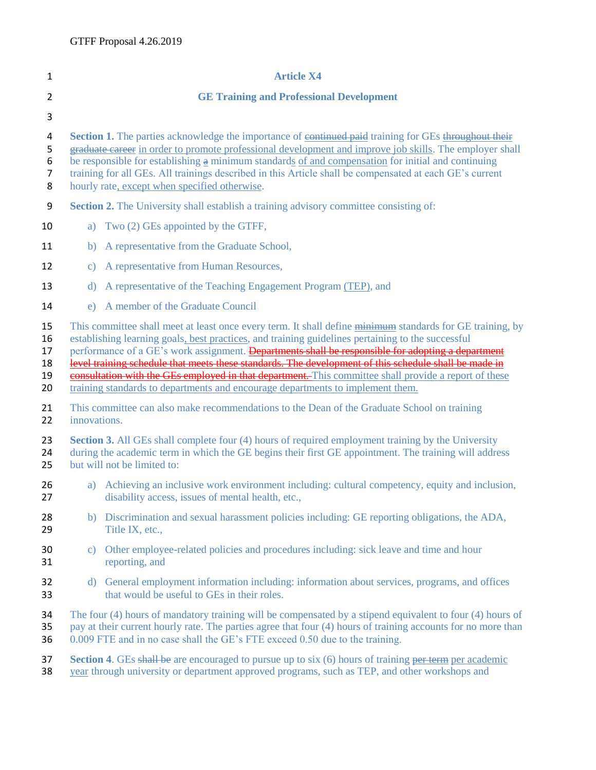| $\mathbf{1}$                       | <b>Article X4</b>                                                                                                                                                                                                                                                                                                                                                                                                                                                                                                                     |
|------------------------------------|---------------------------------------------------------------------------------------------------------------------------------------------------------------------------------------------------------------------------------------------------------------------------------------------------------------------------------------------------------------------------------------------------------------------------------------------------------------------------------------------------------------------------------------|
| $\overline{2}$                     | <b>GE Training and Professional Development</b>                                                                                                                                                                                                                                                                                                                                                                                                                                                                                       |
| 3                                  |                                                                                                                                                                                                                                                                                                                                                                                                                                                                                                                                       |
| 4<br>5<br>6<br>$\overline{7}$<br>8 | Section 1. The parties acknowledge the importance of <del>continued paid</del> training for GEs throughout their<br>graduate career in order to promote professional development and improve job skills. The employer shall<br>be responsible for establishing $\frac{a}{b}$ minimum standards of and compensation for initial and continuing<br>training for all GEs. All trainings described in this Article shall be compensated at each GE's current<br>hourly rate, except when specified otherwise.                             |
| 9                                  | <b>Section 2.</b> The University shall establish a training advisory committee consisting of:                                                                                                                                                                                                                                                                                                                                                                                                                                         |
| 10                                 | a) Two (2) GEs appointed by the GTFF,                                                                                                                                                                                                                                                                                                                                                                                                                                                                                                 |
| 11                                 | b) A representative from the Graduate School,                                                                                                                                                                                                                                                                                                                                                                                                                                                                                         |
| 12                                 | A representative from Human Resources,<br>$\mathbf{c})$                                                                                                                                                                                                                                                                                                                                                                                                                                                                               |
| 13                                 | A representative of the Teaching Engagement Program (TEP), and<br>d)                                                                                                                                                                                                                                                                                                                                                                                                                                                                  |
| 14                                 | A member of the Graduate Council<br>e)                                                                                                                                                                                                                                                                                                                                                                                                                                                                                                |
| 15<br>16<br>17<br>18<br>19         | This committee shall meet at least once every term. It shall define minimum standards for GE training, by<br>establishing learning goals, best practices, and training guidelines pertaining to the successful<br>performance of a GE's work assignment. Departments shall be responsible for adopting a department<br>level training schedule that meets these standards. The development of this schedule shall be made in<br>consultation with the GEs employed in that department. This committee shall provide a report of these |
| 20                                 | training standards to departments and encourage departments to implement them.                                                                                                                                                                                                                                                                                                                                                                                                                                                        |
| 21<br>22                           | This committee can also make recommendations to the Dean of the Graduate School on training<br>innovations.                                                                                                                                                                                                                                                                                                                                                                                                                           |
| 23<br>24<br>25                     | <b>Section 3.</b> All GEs shall complete four (4) hours of required employment training by the University<br>during the academic term in which the GE begins their first GE appointment. The training will address<br>but will not be limited to:                                                                                                                                                                                                                                                                                     |
| 26<br>27                           | Achieving an inclusive work environment including: cultural competency, equity and inclusion,<br>a)<br>disability access, issues of mental health, etc.,                                                                                                                                                                                                                                                                                                                                                                              |
| 28<br>29                           | b) Discrimination and sexual harassment policies including: GE reporting obligations, the ADA,<br>Title IX, etc.,                                                                                                                                                                                                                                                                                                                                                                                                                     |
| 30<br>31                           | c) Other employee-related policies and procedures including: sick leave and time and hour<br>reporting, and                                                                                                                                                                                                                                                                                                                                                                                                                           |
| 32<br>33                           | d) General employment information including: information about services, programs, and offices<br>that would be useful to GEs in their roles.                                                                                                                                                                                                                                                                                                                                                                                         |
| 34<br>35<br>36                     | The four (4) hours of mandatory training will be compensated by a stipend equivalent to four (4) hours of<br>pay at their current hourly rate. The parties agree that four (4) hours of training accounts for no more than<br>0.009 FTE and in no case shall the GE's FTE exceed 0.50 due to the training.                                                                                                                                                                                                                            |
| 37<br>38                           | <b>Section 4.</b> GEs shall be are encouraged to pursue up to six (6) hours of training per term per academic<br>year through university or department approved programs, such as TEP, and other workshops and                                                                                                                                                                                                                                                                                                                        |